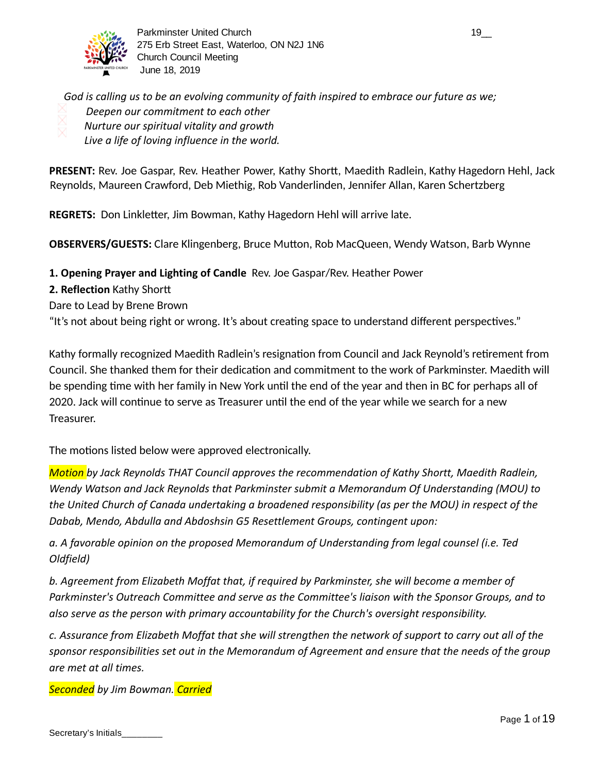

Parkminster United Church 19\_2 and the control of the control of the control of the control of the control of the control of the control of the control of the control of the control of the control of the control of the con 275 Erb Street East, Waterloo, ON N2J 1N6 Church Council Meeting June 18, 2019

*God is calling us to be an evolving community of faith inspired to embrace our future as we; Deepen our commitment to each other Nurture our spiritual vitality and growth Live a life of loving influence in the world.*

PRESENT: Rev. Joe Gaspar, Rev. Heather Power, Kathy Shortt, Maedith Radlein, Kathy Hagedorn Hehl, Jack Reynolds, Maureen Crawford, Deb Miethig, Rob Vanderlinden, Jennifer Allan, Karen Schertzberg

**REGRETS:** Don Linkletter, Jim Bowman, Kathy Hagedorn Hehl will arrive late.

**OBSERVERS/GUESTS:** Clare Klingenberg, Bruce Mutton, Rob MacQueen, Wendy Watson, Barb Wynne

**1. Opening Prayer and Lighting of Candle** Rev. Joe Gaspar/Rev. Heather Power

**2. Reflection** Kathy Shor

Dare to Lead by Brene Brown

"It's not about being right or wrong. It's about creating space to understand different perspectives."

Kathy formally recognized Maedith Radlein's resignation from Council and Jack Reynold's retirement from Council. She thanked them for their dedication and commitment to the work of Parkminster. Maedith will be spending time with her family in New York until the end of the year and then in BC for perhaps all of 2020. Jack will continue to serve as Treasurer until the end of the year while we search for a new Treasurer.

The motions listed below were approved electronically.

*Motion by Jack Reynolds THAT Council approves the recommendation of Kathy Shortt, Maedith Radlein, Wendy Watson and Jack Reynolds that Parkminster submit a Memorandum Of Understanding (MOU) to the United Church of Canada undertaking a broadened responsibility (as per the MOU) in respect of the Dabab, Mendo, Abdulla and Abdoshsin G5 Resettlement Groups, contingent upon:*

*a. A favorable opinion on the proposed Memorandum of Understanding from legal counsel (i.e. Ted Oldfield)*

*b. Agreement from Elizabeth Moffat that, if required by Parkminster, she will become a member of Parkminster's Outreach Committee and serve as the Committee's liaison with the Sponsor Groups, and to also serve as the person with primary accountability for the Church's oversight responsibility.*

*c. Assurance from Elizabeth Moffat that she will strengthen the network of support to carry out all of the sponsor responsibilities set out in the Memorandum of Agreement and ensure that the needs of the group are met at all times.*

**Seconded** by Jim Bowman. Carried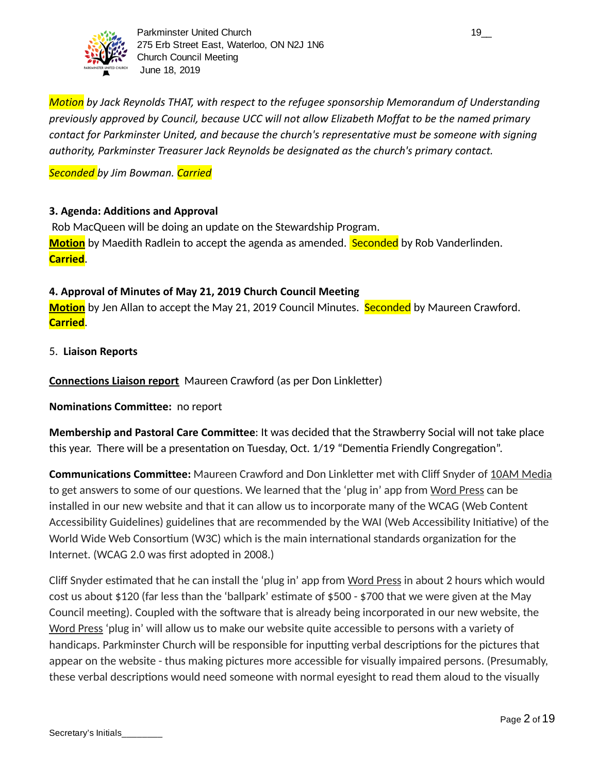

*Motion* by Jack Reynolds THAT, with respect to the refugee sponsorship Memorandum of Understanding *previously approved by Council, because UCC will not allow Elizabeth Moffat to be the named primary contact for Parkminster United, and because the church's representative must be someone with signing authority, Parkminster Treasurer Jack Reynolds be designated as the church's primary contact.*

*Seconded by Jim Bowman. Carried*

#### **3. Agenda: Additions and Approval**

 Rob MacQueen will be doing an update on the Stewardship Program. **Motion** by Maedith Radlein to accept the agenda as amended. **Seconded** by Rob Vanderlinden. **Carried** .

### **4. Approval of Minutes of May 21, 2019 Church Council Meeting**

Motion by Jen Allan to accept the May 21, 2019 Council Minutes. Seconded by Maureen Crawford. **Carried** .

5. **Liaison Reports** 

**Connections Liaison report** Maureen Crawford (as per Don Linkletter)

**Nominations Committee:** no report

**Membership and Pastoral Care Committee**: It was decided that the Strawberry Social will not take place this year. There will be a presentation on Tuesday, Oct. 1/19 "Dementia Friendly Congregation".

**Communications Committee:** Maureen Crawford and Don Linkletter met with Cliff Snyder of 10AM Media to get answers to some of our questions. We learned that the 'plug in' app from Word Press can be installed in our new website and that it can allow us to incorporate many of the WCAG (Web Content Accessibility Guidelines) guidelines that are recommended by the WAI (Web Accessibility Initiative) of the World Wide Web Consortium (W3C) which is the main international standards organization for the Internet. (WCAG 2.0 was first adopted in 2008.)

Cliff Snyder estimated that he can install the 'plug in' app from Word Press in about 2 hours which would cost us about \$120 (far less than the 'ballpark' estimate of \$500 - \$700 that we were given at the May Council meeting). Coupled with the software that is already being incorporated in our new website, the Word Press 'plug in' will allow us to make our website quite accessible to persons with a variety of handicaps. Parkminster Church will be responsible for inputting verbal descriptions for the pictures that appear on the website - thus making pictures more accessible for visually impaired persons. (Presumably, these verbal descriptions would need someone with normal eyesight to read them aloud to the visually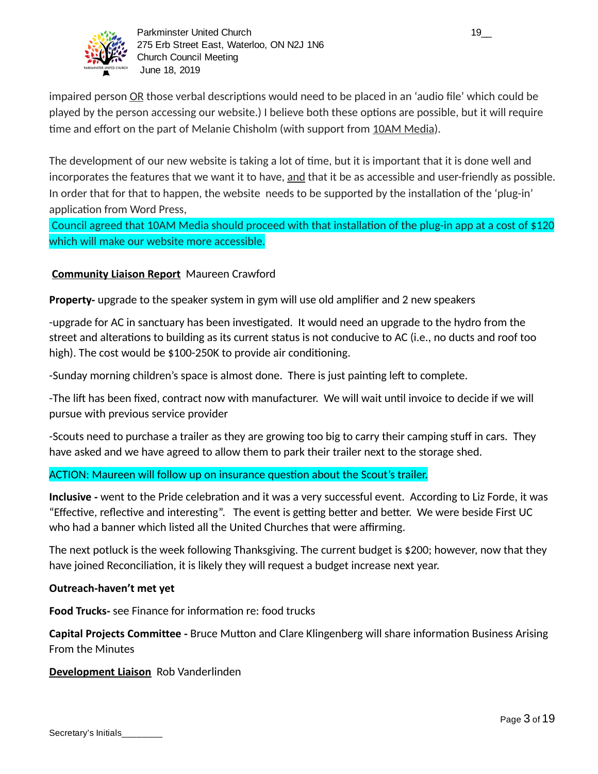

impaired person OR those verbal descriptions would need to be placed in an 'audio file' which could be played by the person accessing our website.) I believe both these options are possible, but it will require time and effort on the part of Melanie Chisholm (with support from 10AM Media).

The development of our new website is taking a lot of time, but it is important that it is done well and incorporates the features that we want it to have, and that it be as accessible and user-friendly as possible. In order that for that to happen, the website needs to be supported by the installation of the 'plug-in' application from Word Press,

Council agreed that 10AM Media should proceed with that installation of the plug-in app at a cost of \$120 which will make our website more accessible.

### **Community Liaison Report** Maureen Crawford

**Property-** upgrade to the speaker system in gym will use old amplifier and 2 new speakers

-upgrade for AC in sanctuary has been investigated. It would need an upgrade to the hydro from the street and alterations to building as its current status is not conducive to AC (i.e., no ducts and roof too high). The cost would be \$100-250K to provide air conditioning.

-Sunday morning children's space is almost done. There is just painting left to complete.

-The lift has been fixed, contract now with manufacturer. We will wait until invoice to decide if we will pursue with previous service provider

-Scouts need to purchase a trailer as they are growing too big to carry their camping stuff in cars. They have asked and we have agreed to allow them to park their trailer next to the storage shed.

### ACTION: Maureen will follow up on insurance question about the Scout's trailer.

**Inclusive** - went to the Pride celebration and it was a very successful event. According to Liz Forde, it was "Effective, reflective and interesting". The event is getting better and better. We were beside First UC who had a banner which listed all the United Churches that were affirming.

The next potluck is the week following Thanksgiving. The current budget is \$200; however, now that they have joined Reconciliation, it is likely they will request a budget increase next year.

#### **Outreach-haven't met yet**

**Food Trucks-** see Finance for information re: food trucks

**Capital Projects Committee -** Bruce Mutton and Clare Klingenberg will share information Business Arising From the Minutes

#### **Development Liaison** Rob Vanderlinden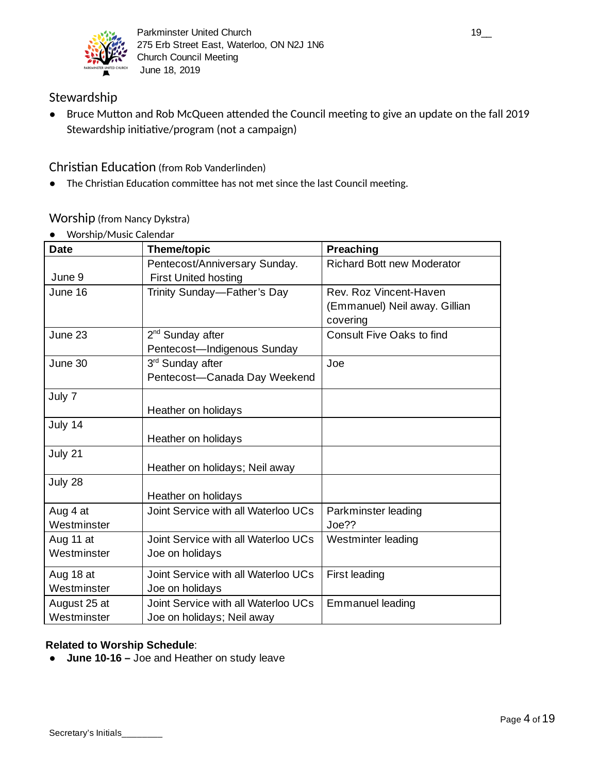

## Stewardship

• Bruce Mutton and Rob McQueen attended the Council meeting to give an update on the fall 2019 Stewardship initiative/program (not a campaign)

Christian Education (from Rob Vanderlinden)

• The Christian Education committee has not met since the last Council meeting.

## Worship (from Nancy Dykstra)

● Worship/Music Calendar

| <b>Date</b>  | <b>Theme/topic</b>                  | Preaching                         |
|--------------|-------------------------------------|-----------------------------------|
|              | Pentecost/Anniversary Sunday.       | <b>Richard Bott new Moderator</b> |
| June 9       | <b>First United hosting</b>         |                                   |
| June 16      | Trinity Sunday—Father's Day         | Rev. Roz Vincent-Haven            |
|              |                                     | (Emmanuel) Neil away. Gillian     |
|              |                                     | covering                          |
| June 23      | 2 <sup>nd</sup> Sunday after        | Consult Five Oaks to find         |
|              | Pentecost-Indigenous Sunday         |                                   |
| June 30      | 3rd Sunday after                    | Joe                               |
|              | Pentecost-Canada Day Weekend        |                                   |
| July 7       |                                     |                                   |
|              | Heather on holidays                 |                                   |
| July 14      |                                     |                                   |
|              | Heather on holidays                 |                                   |
| July 21      |                                     |                                   |
|              | Heather on holidays; Neil away      |                                   |
| July 28      |                                     |                                   |
|              | Heather on holidays                 |                                   |
| Aug 4 at     | Joint Service with all Waterloo UCs | Parkminster leading               |
| Westminster  |                                     | Joe??                             |
| Aug 11 at    | Joint Service with all Waterloo UCs | Westminter leading                |
| Westminster  | Joe on holidays                     |                                   |
| Aug 18 at    | Joint Service with all Waterloo UCs | <b>First leading</b>              |
| Westminster  | Joe on holidays                     |                                   |
| August 25 at | Joint Service with all Waterloo UCs | <b>Emmanuel leading</b>           |
| Westminster  | Joe on holidays; Neil away          |                                   |

### **Related to Worship Schedule**:

**● June 10-16 –** Joe and Heather on study leave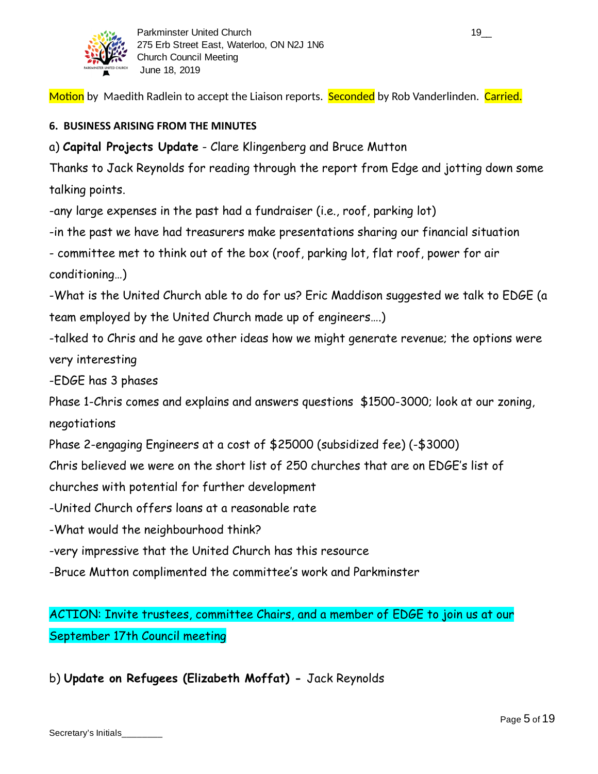

Motion by Maedith Radlein to accept the Liaison reports. Seconded by Rob Vanderlinden. Carried.

## **6. BUSINESS ARISING FROM THE MINUTES**

a) **Capital Projects Update** - Clare Klingenberg and Bruce Mutton

Thanks to Jack Reynolds for reading through the report from Edge and jotting down some talking points.

-any large expenses in the past had a fundraiser (i.e., roof, parking lot)

-in the past we have had treasurers make presentations sharing our financial situation

- committee met to think out of the box (roof, parking lot, flat roof, power for air conditioning…)

-What is the United Church able to do for us? Eric Maddison suggested we talk to EDGE (a team employed by the United Church made up of engineers….)

-talked to Chris and he gave other ideas how we might generate revenue; the options were very interesting

-EDGE has 3 phases

Phase 1-Chris comes and explains and answers questions \$1500-3000; look at our zoning, negotiations

Phase 2-engaging Engineers at a cost of \$25000 (subsidized fee) (-\$3000)

Chris believed we were on the short list of 250 churches that are on EDGE's list of

churches with potential for further development

-United Church offers loans at a reasonable rate

-What would the neighbourhood think?

-very impressive that the United Church has this resource

-Bruce Mutton complimented the committee's work and Parkminster

ACTION: Invite trustees, committee Chairs, and a member of EDGE to join us at our September 17th Council meeting

b) **Update on Refugees (Elizabeth Moffat) -** Jack Reynolds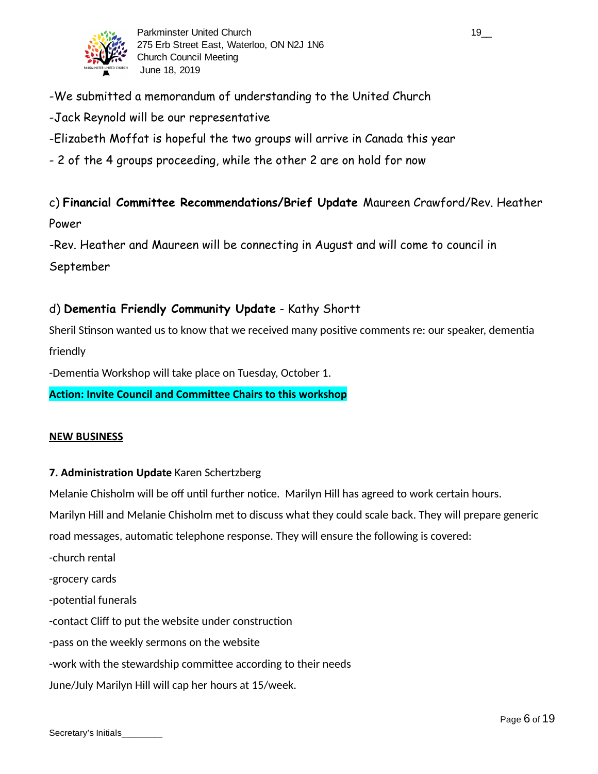

- -We submitted a memorandum of understanding to the United Church
- -Jack Reynold will be our representative
- -Elizabeth Moffat is hopeful the two groups will arrive in Canada this year
- 2 of the 4 groups proceeding, while the other 2 are on hold for now

c) **Financial Committee Recommendations/Brief Update** Maureen Crawford/Rev. Heather Power

-Rev. Heather and Maureen will be connecting in August and will come to council in September

## d) **Dementia Friendly Community Update** - Kathy Shortt

Sheril Stinson wanted us to know that we received many positive comments re: our speaker, dementia friendly

-Dementia Workshop will take place on Tuesday, October 1.

**Action: Invite Council and Committee Chairs to this workshop**

#### **NEW BUSINESS**

#### **7. Administration Update** Karen Schertzberg

Melanie Chisholm will be off until further notice. Marilyn Hill has agreed to work certain hours. Marilyn Hill and Melanie Chisholm met to discuss what they could scale back. They will prepare generic road messages, automatic telephone response. They will ensure the following is covered:

-church rental

-grocery cards

- -potential funerals
- -contact Cliff to put the website under construction
- -pass on the weekly sermons on the website
- -work with the stewardship committee according to their needs
- June/July Marilyn Hill will cap her hours at 15/week.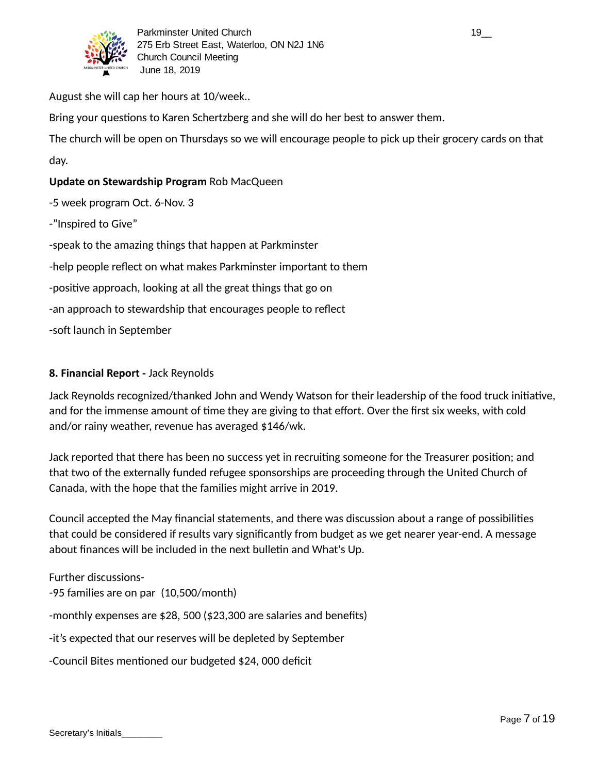

August she will cap her hours at 10/week..

Bring your questions to Karen Schertzberg and she will do her best to answer them.

The church will be open on Thursdays so we will encourage people to pick up their grocery cards on that day.

### **Update on Stewardship Program** Rob MacQueen

-5 week program Oct. 6-Nov. 3

-"Inspired to Give"

-speak to the amazing things that happen at Parkminster

-help people reflect on what makes Parkminster important to them

-positive approach, looking at all the great things that go on

-an approach to stewardship that encourages people to reflect

-soft launch in September

#### **8. Financial Report -** Jack Reynolds

Jack Reynolds recognized/thanked John and Wendy Watson for their leadership of the food truck initiative, and for the immense amount of time they are giving to that effort. Over the first six weeks, with cold and/or rainy weather, revenue has averaged \$146/wk.

Jack reported that there has been no success yet in recruiting someone for the Treasurer position; and that two of the externally funded refugee sponsorships are proceeding through the United Church of Canada, with the hope that the families might arrive in 2019.

Council accepted the May financial statements, and there was discussion about a range of possibilities that could be considered if results vary significantly from budget as we get nearer year-end. A message about finances will be included in the next bulletin and What's Up.

Further discussions- -95 families are on par (10,500/month)

-monthly expenses are \$28, 500 (\$23,300 are salaries and benefits)

-it's expected that our reserves will be depleted by September

-Council Bites mentioned our budgeted \$24,000 deficit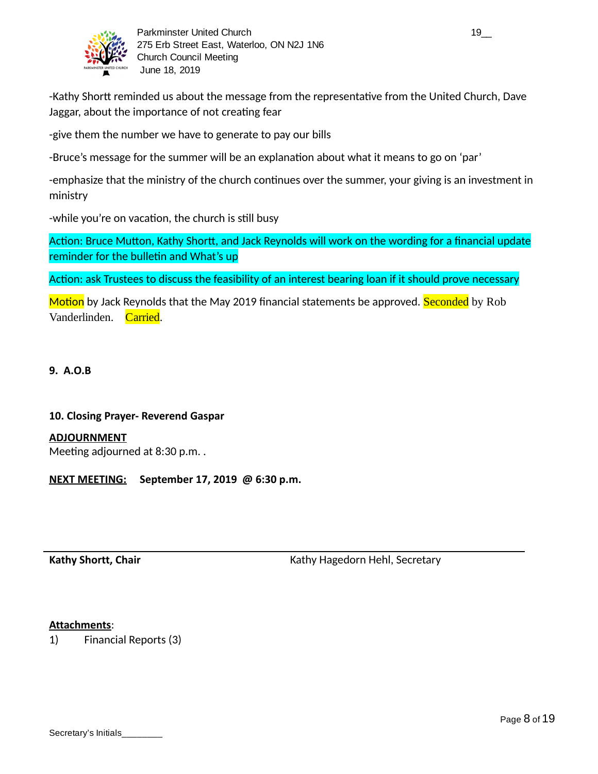

-Kathy Shortt reminded us about the message from the representative from the United Church, Dave Jaggar, about the importance of not creating fear

-give them the number we have to generate to pay our bills

-Bruce's message for the summer will be an explanation about what it means to go on 'par'

-emphasize that the ministry of the church continues over the summer, your giving is an investment in ministry

-while you're on vacation, the church is still busy

Action: Bruce Mutton, Kathy Shortt, and Jack Reynolds will work on the wording for a financial update reminder for the bulletin and What's up

Action: ask Trustees to discuss the feasibility of an interest bearing loan if it should prove necessary

Motion by Jack Reynolds that the May 2019 financial statements be approved. Seconded by Rob Vanderlinden. Carried.

#### **9. A.O.B**

#### **10. Closing Prayer- Reverend Gaspar**

**ADJOURNMENT**

Meeting adjourned at 8:30 p.m..

**NEXT MEETING: September 17, 2019 @ 6:30 p.m.**

**Kathy Shortt, Chair** Kathy Hagedorn Hehl, Secretary

#### **Attachments** :

1) Financial Reports (3)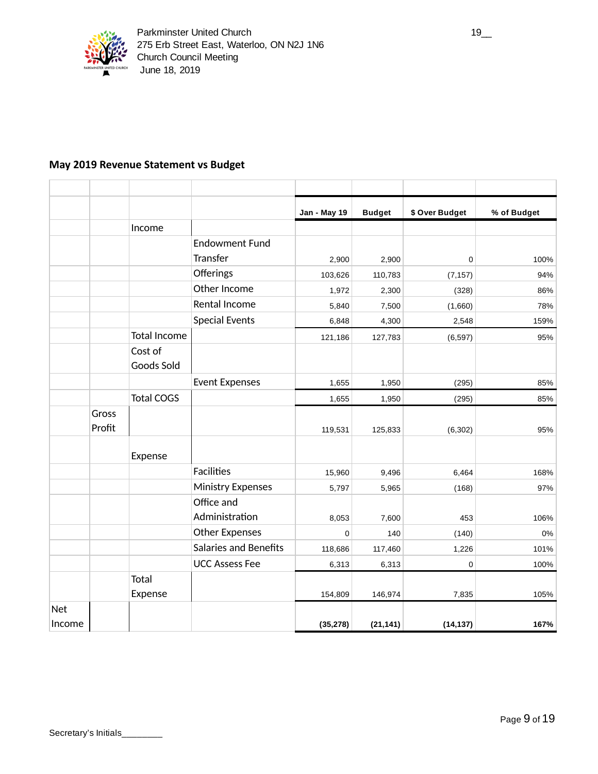

### **May 2019 Revenue Statement vs Budget**

|            |        |                       |                              | <b>Jan - May 19</b> | <b>Budget</b> | \$ Over Budget | % of Budget |
|------------|--------|-----------------------|------------------------------|---------------------|---------------|----------------|-------------|
|            |        | Income                |                              |                     |               |                |             |
|            |        |                       | <b>Endowment Fund</b>        |                     |               |                |             |
|            |        |                       | Transfer                     | 2,900               | 2,900         | 0              | 100%        |
|            |        |                       | Offerings                    | 103,626             | 110,783       | (7, 157)       | 94%         |
|            |        |                       | Other Income                 | 1,972               | 2,300         | (328)          | 86%         |
|            |        |                       | Rental Income                | 5,840               | 7,500         | (1,660)        | 78%         |
|            |        |                       | <b>Special Events</b>        | 6,848               | 4,300         | 2,548          | 159%        |
|            |        | <b>Total Income</b>   |                              | 121,186             | 127,783       | (6, 597)       | 95%         |
|            |        | Cost of<br>Goods Sold |                              |                     |               |                |             |
|            |        |                       | <b>Event Expenses</b>        | 1,655               | 1,950         | (295)          | 85%         |
|            |        | <b>Total COGS</b>     |                              | 1,655               | 1,950         | (295)          | 85%         |
|            | Gross  |                       |                              |                     |               |                |             |
|            | Profit |                       |                              | 119,531             | 125,833       | (6, 302)       | 95%         |
|            |        | Expense               |                              |                     |               |                |             |
|            |        |                       | <b>Facilities</b>            | 15,960              | 9,496         | 6,464          | 168%        |
|            |        |                       | <b>Ministry Expenses</b>     | 5,797               | 5,965         | (168)          | 97%         |
|            |        |                       | Office and<br>Administration | 8,053               | 7,600         | 453            | 106%        |
|            |        |                       | <b>Other Expenses</b>        | $\mathbf 0$         | 140           | (140)          | 0%          |
|            |        |                       | <b>Salaries and Benefits</b> | 118,686             | 117,460       | 1,226          | 101%        |
|            |        |                       | <b>UCC Assess Fee</b>        | 6,313               | 6,313         | 0              | 100%        |
|            |        | Total<br>Expense      |                              | 154,809             | 146,974       | 7,835          | 105%        |
| <b>Net</b> |        |                       |                              |                     |               |                |             |
| Income     |        |                       |                              | (35, 278)           | (21, 141)     | (14, 137)      | 167%        |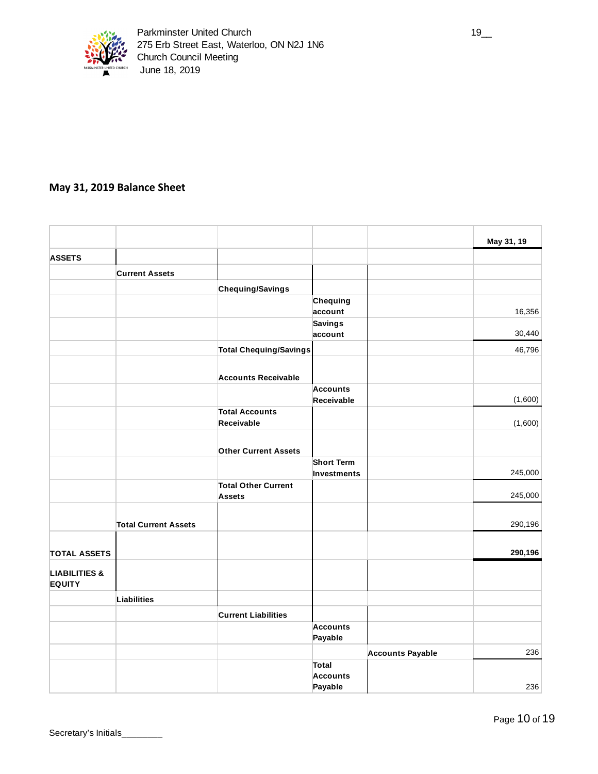

### **May 31, 2019 Balance Sheet**

|                                           |                             |                                             |                            |                         | May 31, 19         |
|-------------------------------------------|-----------------------------|---------------------------------------------|----------------------------|-------------------------|--------------------|
| <b>ASSETS</b>                             |                             |                                             |                            |                         |                    |
|                                           | <b>Current Assets</b>       |                                             |                            |                         |                    |
|                                           |                             | Chequing/Savings                            |                            |                         |                    |
|                                           |                             |                                             | Chequing                   |                         |                    |
|                                           |                             |                                             | account                    |                         | 16,356             |
|                                           |                             |                                             | <b>Savings</b><br>account  |                         | 30,440             |
|                                           |                             | <b>Total Chequing/Savings</b>               |                            |                         | 46,796             |
|                                           |                             | <b>Accounts Receivable</b>                  |                            |                         |                    |
|                                           |                             |                                             | <b>Accounts</b>            |                         |                    |
|                                           |                             |                                             | Receivable                 |                         | (1,600)            |
|                                           |                             | <b>Total Accounts</b><br>Receivable         |                            |                         | (1,600)            |
|                                           |                             | <b>Other Current Assets</b>                 |                            |                         |                    |
|                                           |                             |                                             | <b>Short Term</b>          |                         |                    |
|                                           |                             | <b>Total Other Current</b><br><b>Assets</b> | Investments                |                         | 245,000<br>245,000 |
|                                           |                             |                                             |                            |                         |                    |
|                                           | <b>Total Current Assets</b> |                                             |                            |                         | 290,196            |
| <b>TOTAL ASSETS</b>                       |                             |                                             |                            |                         | 290,196            |
| <b>LIABILITIES &amp;</b><br><b>EQUITY</b> |                             |                                             |                            |                         |                    |
|                                           | Liabilities                 |                                             |                            |                         |                    |
|                                           |                             | <b>Current Liabilities</b>                  |                            |                         |                    |
|                                           |                             |                                             | <b>Accounts</b><br>Payable |                         |                    |
|                                           |                             |                                             |                            | <b>Accounts Payable</b> | 236                |
|                                           |                             |                                             | <b>Total</b>               |                         |                    |
|                                           |                             |                                             | <b>Accounts</b>            |                         |                    |
|                                           |                             |                                             | Payable                    |                         | 236                |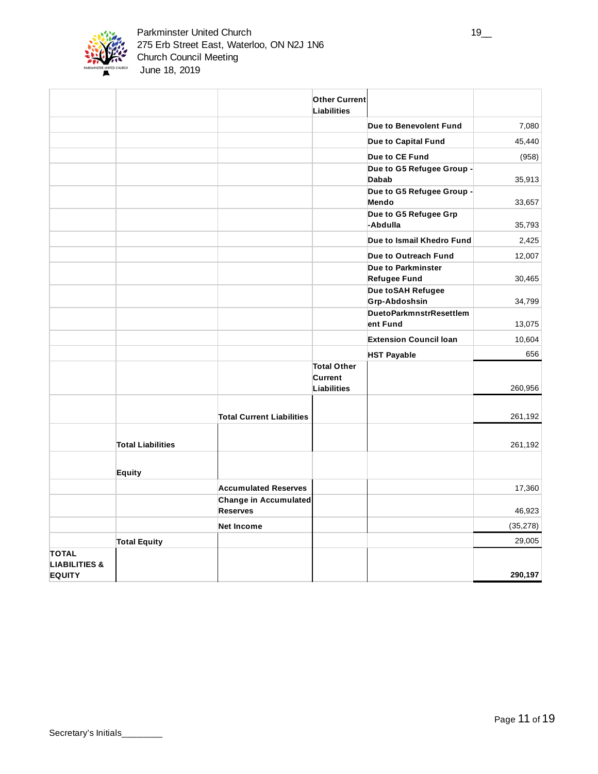

|                                                           |                          |                                          | <b>Other Current</b><br><b>Liabilities</b>          |                                     |           |
|-----------------------------------------------------------|--------------------------|------------------------------------------|-----------------------------------------------------|-------------------------------------|-----------|
|                                                           |                          |                                          |                                                     | Due to Benevolent Fund              | 7,080     |
|                                                           |                          |                                          |                                                     | Due to Capital Fund                 | 45,440    |
|                                                           |                          |                                          |                                                     | Due to CE Fund                      | (958)     |
|                                                           |                          |                                          |                                                     | Due to G5 Refugee Group -           |           |
|                                                           |                          |                                          |                                                     | <b>Dabab</b>                        | 35,913    |
|                                                           |                          |                                          |                                                     | Due to G5 Refugee Group -<br>Mendo  | 33,657    |
|                                                           |                          |                                          |                                                     | Due to G5 Refugee Grp<br>-Abdulla   | 35,793    |
|                                                           |                          |                                          |                                                     | Due to Ismail Khedro Fund           | 2,425     |
|                                                           |                          |                                          |                                                     | Due to Outreach Fund                | 12,007    |
|                                                           |                          |                                          |                                                     | Due to Parkminster                  |           |
|                                                           |                          |                                          |                                                     | <b>Refugee Fund</b>                 | 30,465    |
|                                                           |                          |                                          |                                                     | Due to SAH Refugee<br>Grp-Abdoshsin | 34,799    |
|                                                           |                          |                                          |                                                     | <b>DuetoParkmnstrResettlem</b>      |           |
|                                                           |                          |                                          |                                                     | ent Fund                            | 13,075    |
|                                                           |                          |                                          |                                                     | <b>Extension Council loan</b>       | 10,604    |
|                                                           |                          |                                          |                                                     | <b>HST Payable</b>                  | 656       |
|                                                           |                          |                                          | <b>Total Other</b><br>Current<br><b>Liabilities</b> |                                     | 260,956   |
|                                                           |                          | <b>Total Current Liabilities</b>         |                                                     |                                     | 261,192   |
|                                                           | <b>Total Liabilities</b> |                                          |                                                     |                                     | 261,192   |
|                                                           | Equity                   |                                          |                                                     |                                     |           |
|                                                           |                          | <b>Accumulated Reserves</b>              |                                                     |                                     | 17,360    |
|                                                           |                          | Change in Accumulated<br><b>Reserves</b> |                                                     |                                     | 46,923    |
|                                                           |                          | <b>Net Income</b>                        |                                                     |                                     | (35, 278) |
|                                                           | <b>Total Equity</b>      |                                          |                                                     |                                     | 29,005    |
| <b>TOTAL</b><br><b>LIABILITIES &amp;</b><br><b>EQUITY</b> |                          |                                          |                                                     |                                     | 290,197   |
|                                                           |                          |                                          |                                                     |                                     |           |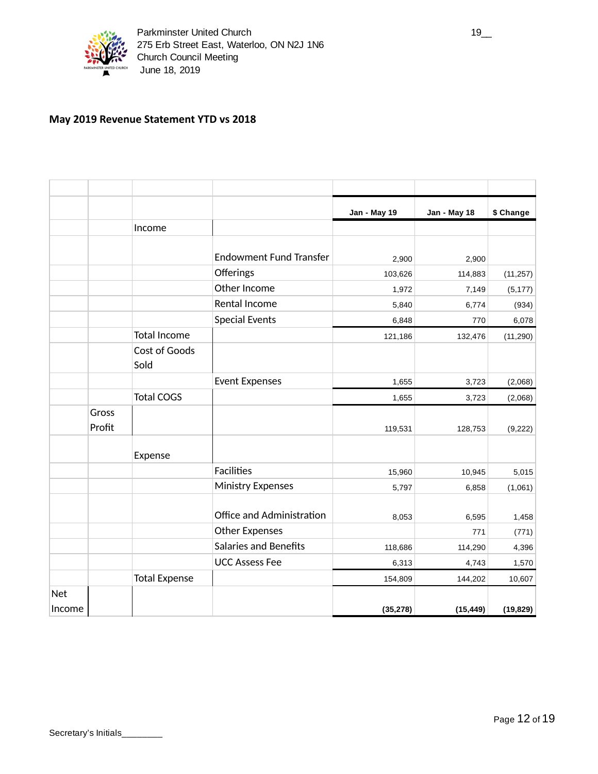

### **May 2019 Revenue Statement YTD vs 2018**

|            |                 |                      |                                | Jan - May 19 | <b>Jan - May 18</b> | \$ Change |
|------------|-----------------|----------------------|--------------------------------|--------------|---------------------|-----------|
|            |                 | Income               |                                |              |                     |           |
|            |                 |                      |                                |              |                     |           |
|            |                 |                      | <b>Endowment Fund Transfer</b> | 2,900        | 2,900               |           |
|            |                 |                      | Offerings                      | 103,626      | 114,883             | (11, 257) |
|            |                 |                      | Other Income                   | 1,972        | 7,149               | (5, 177)  |
|            |                 |                      | Rental Income                  | 5,840        | 6,774               | (934)     |
|            |                 |                      | <b>Special Events</b>          | 6,848        | 770                 | 6,078     |
|            |                 | <b>Total Income</b>  |                                | 121,186      | 132,476             | (11, 290) |
|            |                 | Cost of Goods        |                                |              |                     |           |
|            |                 | Sold                 |                                |              |                     |           |
|            |                 |                      | <b>Event Expenses</b>          | 1,655        | 3,723               | (2,068)   |
|            |                 | <b>Total COGS</b>    |                                | 1,655        | 3,723               | (2,068)   |
|            | Gross<br>Profit |                      |                                | 119,531      | 128,753             | (9, 222)  |
|            |                 | Expense              |                                |              |                     |           |
|            |                 |                      | Facilities                     | 15,960       | 10,945              | 5,015     |
|            |                 |                      | <b>Ministry Expenses</b>       | 5,797        | 6,858               | (1,061)   |
|            |                 |                      |                                |              |                     |           |
|            |                 |                      | Office and Administration      | 8,053        | 6,595               | 1,458     |
|            |                 |                      | <b>Other Expenses</b>          |              | 771                 | (771)     |
|            |                 |                      | <b>Salaries and Benefits</b>   | 118,686      | 114,290             | 4,396     |
|            |                 |                      | <b>UCC Assess Fee</b>          | 6,313        | 4,743               | 1,570     |
|            |                 | <b>Total Expense</b> |                                | 154,809      | 144,202             | 10,607    |
| <b>Net</b> |                 |                      |                                |              |                     |           |
| Income     |                 |                      |                                | (35, 278)    | (15, 449)           | (19, 829) |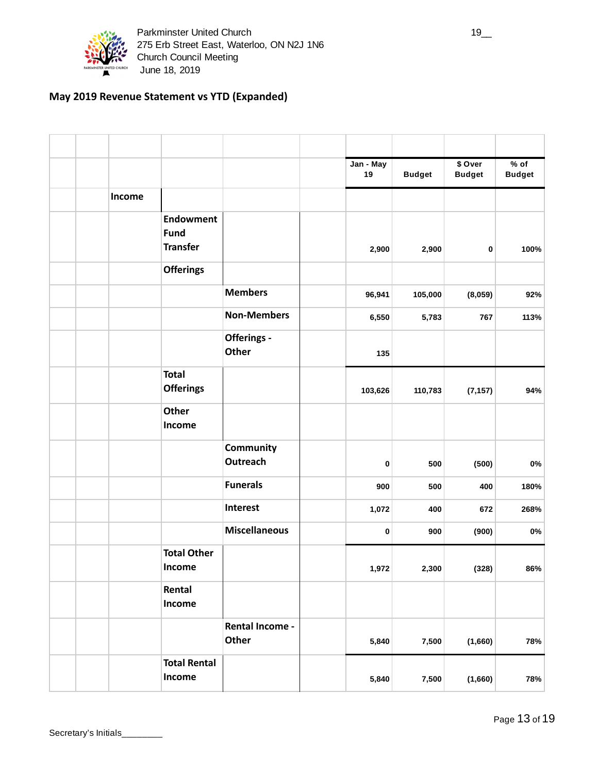

### **May 2019 Revenue Statement vs YTD (Expanded)**

|        |                                                    |                          | Jan - May<br>19 |        | <b>Budget</b> | \$ Over<br><b>Budget</b> | $%$ of<br><b>Budget</b> |
|--------|----------------------------------------------------|--------------------------|-----------------|--------|---------------|--------------------------|-------------------------|
| Income |                                                    |                          |                 |        |               |                          |                         |
|        | <b>Endowment</b><br><b>Fund</b><br><b>Transfer</b> |                          |                 | 2,900  | 2,900         | 0                        | 100%                    |
|        | <b>Offerings</b>                                   |                          |                 |        |               |                          |                         |
|        |                                                    | <b>Members</b>           |                 | 96,941 | 105,000       | (8,059)                  | 92%                     |
|        |                                                    | <b>Non-Members</b>       |                 | 6,550  | 5,783         | 767                      | 113%                    |
|        |                                                    | Offerings -<br>Other     |                 | 135    |               |                          |                         |
|        | <b>Total</b><br><b>Offerings</b>                   |                          | 103,626         |        | 110,783       | (7, 157)                 | 94%                     |
|        | <b>Other</b><br>Income                             |                          |                 |        |               |                          |                         |
|        |                                                    | Community<br>Outreach    |                 | 0      | 500           | (500)                    | 0%                      |
|        |                                                    | <b>Funerals</b>          |                 | 900    | 500           | 400                      | 180%                    |
|        |                                                    | Interest                 |                 | 1,072  | 400           | 672                      | 268%                    |
|        |                                                    | <b>Miscellaneous</b>     |                 | 0      | 900           | (900)                    | 0%                      |
|        | <b>Total Other</b><br>Income                       |                          |                 | 1,972  | 2,300         | (328)                    | 86%                     |
|        | Rental<br>Income                                   |                          |                 |        |               |                          |                         |
|        |                                                    | Rental Income -<br>Other |                 | 5,840  | 7,500         | (1,660)                  | 78%                     |
|        | <b>Total Rental</b><br>Income                      |                          |                 | 5,840  | 7,500         | (1,660)                  | 78%                     |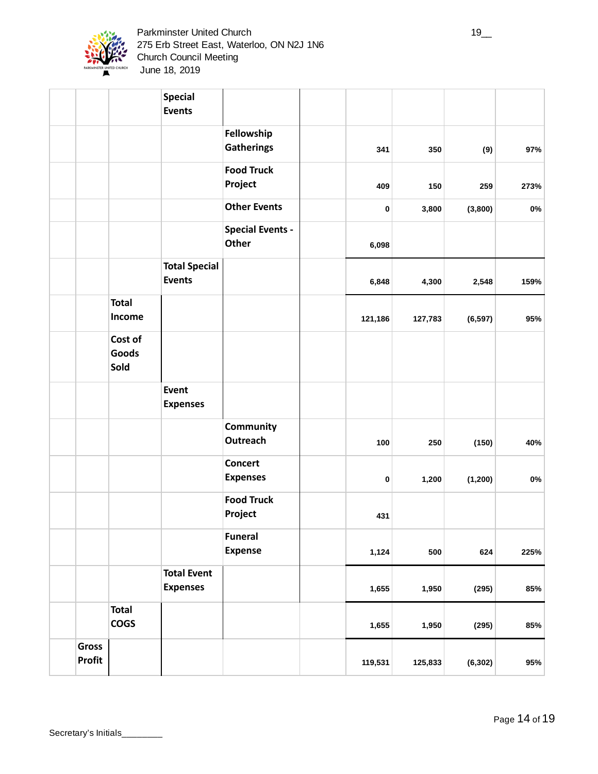

|                        |                                 | <b>Special</b><br><b>Events</b>       |                                         |         |         |          |       |
|------------------------|---------------------------------|---------------------------------------|-----------------------------------------|---------|---------|----------|-------|
|                        |                                 |                                       | Fellowship<br><b>Gatherings</b>         | 341     | 350     | (9)      | 97%   |
|                        |                                 |                                       | <b>Food Truck</b><br>Project            | 409     | 150     | 259      | 273%  |
|                        |                                 |                                       | <b>Other Events</b>                     | 0       | 3,800   | (3,800)  | 0%    |
|                        |                                 |                                       | <b>Special Events -</b><br><b>Other</b> | 6,098   |         |          |       |
|                        |                                 | <b>Total Special</b><br><b>Events</b> |                                         | 6,848   | 4,300   | 2,548    | 159%  |
|                        | <b>Total</b><br>Income          |                                       |                                         | 121,186 | 127,783 | (6, 597) | 95%   |
|                        | Cost of<br><b>Goods</b><br>Sold |                                       |                                         |         |         |          |       |
|                        |                                 | Event<br><b>Expenses</b>              |                                         |         |         |          |       |
|                        |                                 |                                       | Community<br><b>Outreach</b>            | 100     | 250     | (150)    | 40%   |
|                        |                                 |                                       | Concert<br><b>Expenses</b>              | 0       | 1,200   | (1, 200) | $0\%$ |
|                        |                                 |                                       | <b>Food Truck</b><br>Project            | 431     |         |          |       |
|                        |                                 |                                       | <b>Funeral</b><br><b>Expense</b>        | 1,124   | 500     | 624      | 225%  |
|                        |                                 | <b>Total Event</b><br><b>Expenses</b> |                                         | 1,655   | 1,950   | (295)    | 85%   |
|                        | <b>Total</b><br><b>COGS</b>     |                                       |                                         | 1,655   | 1,950   | (295)    | 85%   |
| <b>Gross</b><br>Profit |                                 |                                       |                                         | 119,531 | 125,833 | (6, 302) | 95%   |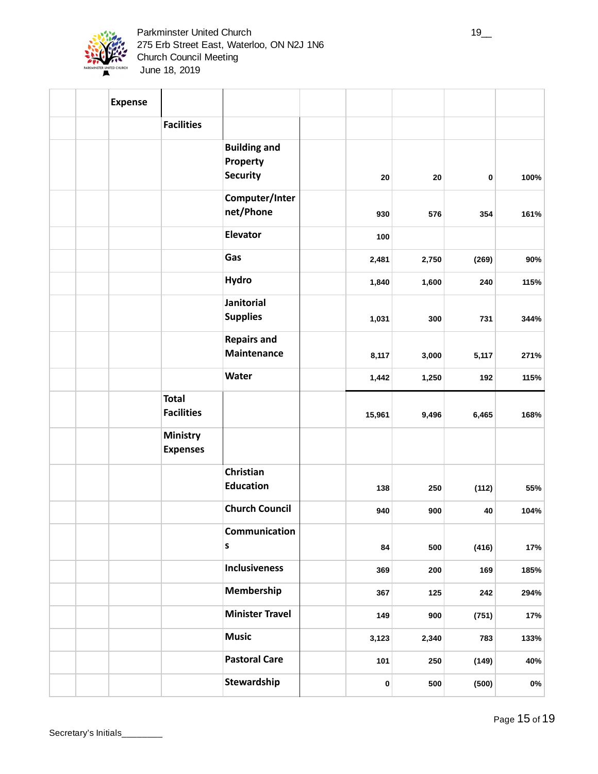

| <b>Expense</b> |                                    |                                                    |        |       |       |      |
|----------------|------------------------------------|----------------------------------------------------|--------|-------|-------|------|
|                | <b>Facilities</b>                  |                                                    |        |       |       |      |
|                |                                    | <b>Building and</b><br>Property<br><b>Security</b> | 20     | 20    | 0     | 100% |
|                |                                    | Computer/Inter<br>net/Phone                        | 930    | 576   | 354   | 161% |
|                |                                    | Elevator                                           | 100    |       |       |      |
|                |                                    | Gas                                                | 2,481  | 2,750 | (269) | 90%  |
|                |                                    | <b>Hydro</b>                                       | 1,840  | 1,600 | 240   | 115% |
|                |                                    | Janitorial<br><b>Supplies</b>                      | 1,031  | 300   | 731   | 344% |
|                |                                    | <b>Repairs and</b><br>Maintenance                  | 8,117  | 3,000 | 5,117 | 271% |
|                |                                    | <b>Water</b>                                       | 1,442  | 1,250 | 192   | 115% |
|                | <b>Total</b><br><b>Facilities</b>  |                                                    | 15,961 | 9,496 | 6,465 | 168% |
|                | <b>Ministry</b><br><b>Expenses</b> |                                                    |        |       |       |      |
|                |                                    | Christian<br><b>Education</b>                      | 138    | 250   | (112) | 55%  |
|                |                                    | <b>Church Council</b>                              | 940    | 900   | 40    | 104% |
|                |                                    | Communication<br>$\sf{s}$                          | 84     | 500   | (416) | 17%  |
|                |                                    | <b>Inclusiveness</b>                               | 369    | 200   | 169   | 185% |
|                |                                    | Membership                                         | 367    | 125   | 242   | 294% |
|                |                                    | <b>Minister Travel</b>                             | 149    | 900   | (751) | 17%  |
|                |                                    | <b>Music</b>                                       | 3,123  | 2,340 | 783   | 133% |
|                |                                    | <b>Pastoral Care</b>                               | 101    | 250   | (149) | 40%  |
|                |                                    | Stewardship                                        | 0      | 500   | (500) | 0%   |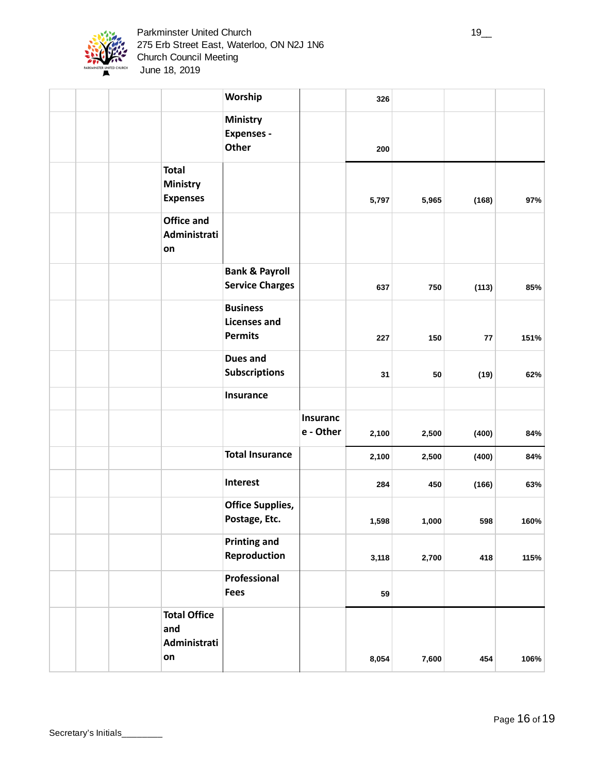

|  |                                                    | Worship                                                  |                              | 326   |       |            |      |
|--|----------------------------------------------------|----------------------------------------------------------|------------------------------|-------|-------|------------|------|
|  |                                                    | <b>Ministry</b><br><b>Expenses -</b><br><b>Other</b>     |                              | 200   |       |            |      |
|  | <b>Total</b><br><b>Ministry</b><br><b>Expenses</b> |                                                          |                              | 5,797 | 5,965 | (168)      | 97%  |
|  | <b>Office and</b><br>Administrati<br>on            |                                                          |                              |       |       |            |      |
|  |                                                    | <b>Bank &amp; Payroll</b><br><b>Service Charges</b>      |                              | 637   | 750   | (113)      | 85%  |
|  |                                                    | <b>Business</b><br><b>Licenses and</b><br><b>Permits</b> |                              | 227   | 150   | ${\bf 77}$ | 151% |
|  |                                                    | <b>Dues and</b><br><b>Subscriptions</b>                  |                              | 31    | 50    | (19)       | 62%  |
|  |                                                    | <b>Insurance</b>                                         |                              |       |       |            |      |
|  |                                                    |                                                          | <b>Insuranc</b><br>e - Other | 2,100 | 2,500 | (400)      | 84%  |
|  |                                                    | <b>Total Insurance</b>                                   |                              | 2,100 | 2,500 | (400)      | 84%  |
|  |                                                    | Interest                                                 |                              | 284   | 450   | (166)      | 63%  |
|  |                                                    | <b>Office Supplies,</b><br>Postage, Etc.                 |                              | 1,598 | 1,000 | 598        | 160% |
|  |                                                    | <b>Printing and</b><br>Reproduction                      |                              | 3,118 | 2,700 | 418        | 115% |
|  |                                                    | Professional<br><b>Fees</b>                              |                              | 59    |       |            |      |
|  | <b>Total Office</b><br>and<br>Administrati<br>on   |                                                          |                              | 8,054 | 7,600 | 454        | 106% |
|  |                                                    |                                                          |                              |       |       |            |      |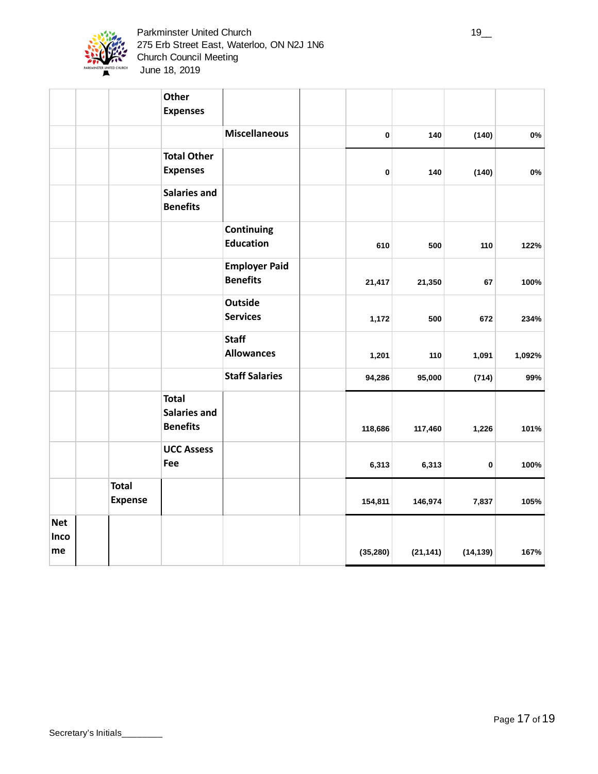

|                          |                                | Other<br><b>Expenses</b>                               |                                         |           |           |           |        |
|--------------------------|--------------------------------|--------------------------------------------------------|-----------------------------------------|-----------|-----------|-----------|--------|
|                          |                                |                                                        | <b>Miscellaneous</b>                    | 0         | 140       | (140)     | 0%     |
|                          |                                | <b>Total Other</b><br><b>Expenses</b>                  |                                         | 0         | 140       | (140)     | 0%     |
|                          |                                | <b>Salaries and</b><br><b>Benefits</b>                 |                                         |           |           |           |        |
|                          |                                |                                                        | Continuing<br><b>Education</b>          | 610       | 500       | 110       | 122%   |
|                          |                                |                                                        | <b>Employer Paid</b><br><b>Benefits</b> | 21,417    | 21,350    | 67        | 100%   |
|                          |                                |                                                        | <b>Outside</b><br><b>Services</b>       | 1,172     | 500       | 672       | 234%   |
|                          |                                |                                                        | <b>Staff</b><br><b>Allowances</b>       | 1,201     | 110       | 1,091     | 1,092% |
|                          |                                |                                                        | <b>Staff Salaries</b>                   | 94,286    | 95,000    | (714)     | 99%    |
|                          |                                | <b>Total</b><br><b>Salaries and</b><br><b>Benefits</b> |                                         | 118,686   | 117,460   | 1,226     | 101%   |
|                          |                                | <b>UCC Assess</b><br>Fee                               |                                         | 6,313     | 6,313     | 0         | 100%   |
|                          | <b>Total</b><br><b>Expense</b> |                                                        |                                         | 154,811   | 146,974   | 7,837     | 105%   |
| <b>Net</b><br>Inco<br>me |                                |                                                        |                                         | (35, 280) | (21, 141) | (14, 139) | 167%   |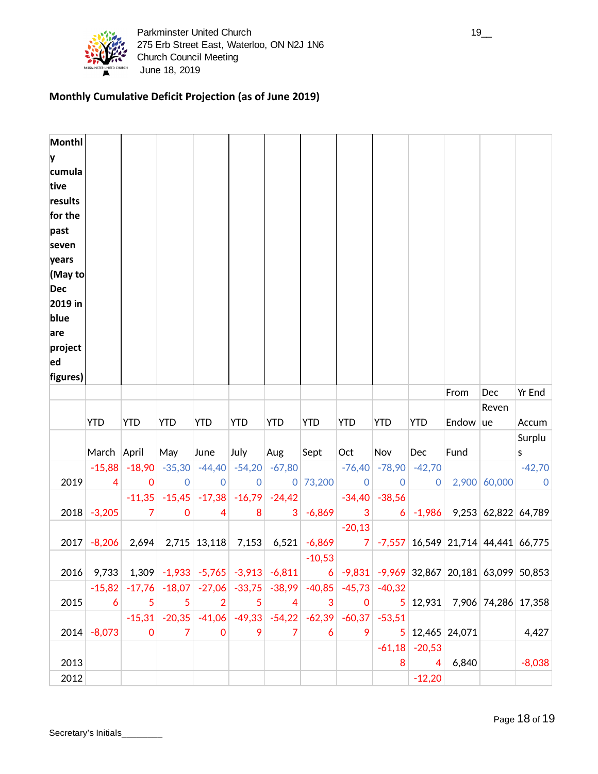

# **Monthly Cumulative Deficit Projection (as of June 2019)**

| <b>Monthl</b><br>y<br>cumula<br>tive<br>results<br>for the<br>past<br>seven<br>years<br>(May to<br><b>Dec</b><br>2019 in<br>blue<br>are<br>project<br>ed<br>figures) |               |                         |                                                                                  |                         |                         |               |                |                         |                                             |                                      |       |                                      |                         |
|----------------------------------------------------------------------------------------------------------------------------------------------------------------------|---------------|-------------------------|----------------------------------------------------------------------------------|-------------------------|-------------------------|---------------|----------------|-------------------------|---------------------------------------------|--------------------------------------|-------|--------------------------------------|-------------------------|
|                                                                                                                                                                      |               |                         |                                                                                  |                         |                         |               |                |                         |                                             |                                      | From  | Dec                                  | Yr End                  |
|                                                                                                                                                                      |               |                         |                                                                                  |                         |                         |               |                |                         |                                             |                                      |       | Reven                                |                         |
|                                                                                                                                                                      |               |                         |                                                                                  |                         |                         |               |                |                         |                                             |                                      |       |                                      |                         |
|                                                                                                                                                                      | <b>YTD</b>    | <b>YTD</b>              | <b>YTD</b>                                                                       | <b>YTD</b>              | <b>YTD</b>              | <b>YTD</b>    | <b>YTD</b>     | <b>YTD</b>              | <b>YTD</b>                                  | <b>YTD</b>                           | Endow | ue                                   | Accum                   |
|                                                                                                                                                                      |               |                         |                                                                                  |                         |                         |               |                |                         |                                             |                                      |       |                                      | Surplu                  |
|                                                                                                                                                                      | March April   |                         | May                                                                              | June                    | July                    | Aug           | Sept           | Oct                     | Nov                                         | Dec                                  | Fund  |                                      | S                       |
| 2019                                                                                                                                                                 | $-15,88$<br>4 | $-18,90$<br>0           | $-35,30$<br>$\mathbf 0$                                                          | $-44,40$<br>$\mathbf 0$ | $-54,20$<br>$\mathbf 0$ | $-67,80$      | 0 73,200       | $-76,40$<br>$\mathbf 0$ | $-78,90$<br>$\overline{0}$                  | $-42,70$<br>0                        |       | 2,900 60,000                         | $-42,70$<br>$\mathbf 0$ |
|                                                                                                                                                                      |               | $-11,35$                | $-15,45$                                                                         | $-17,38$                | $-16,79$                | $-24,42$      |                | $-34,40$                | $-38,56$                                    |                                      |       |                                      |                         |
| 2018                                                                                                                                                                 | $-3,205$      | 7                       | $\boldsymbol{0}$                                                                 | 4                       | 8                       | 3             | $-6,869$       | 3                       | 6                                           | $-1,986$                             |       | 9,253 62,822 64,789                  |                         |
|                                                                                                                                                                      |               |                         |                                                                                  |                         |                         |               |                | $-20,13$                |                                             |                                      |       |                                      |                         |
| 2017                                                                                                                                                                 | $-8,206$      | 2,694                   |                                                                                  | $2,715$ 13,118          | 7,153                   |               | $6,521$ -6,869 | $\overline{7}$          |                                             |                                      |       | $-7,557$ 16,549 21,714 44,441 66,775 |                         |
|                                                                                                                                                                      |               |                         |                                                                                  |                         |                         |               | $-10,53$       |                         |                                             |                                      |       |                                      |                         |
| 2016                                                                                                                                                                 | 9,733         |                         | $1,309$ -1,933 -5,765 -3,913 -6,811                                              |                         |                         |               |                |                         | 6 -9,831 -9,969 32,867 20,181 63,099 50,853 |                                      |       |                                      |                         |
|                                                                                                                                                                      |               |                         | $-15,82$ $-17,76$ $-18,07$ $-27,06$ $-33,75$ $-38,99$ $-40,85$ $-45,73$ $-40,32$ |                         |                         |               |                |                         |                                             |                                      |       |                                      |                         |
| 2015                                                                                                                                                                 | 6             | 5                       | 5                                                                                | 2                       | 5                       | 4             | 3              | $\mathbf 0$             |                                             |                                      |       | $5 12,931 $ 7,906 74,286 17,358      |                         |
|                                                                                                                                                                      |               | $-15,31$<br>$\mathbf 0$ | $-20,35$<br>7                                                                    | $-41,06$<br>0           | $-49,33$<br>9           | $-54,22$<br>7 | $-62,39$<br>6  | $-60,37$<br>9           | $-53,51$                                    |                                      |       |                                      |                         |
| 2014                                                                                                                                                                 | $-8,073$      |                         |                                                                                  |                         |                         |               |                |                         |                                             | 5 12,465 24,071<br>$-61,18$ $-20,53$ |       |                                      | 4,427                   |
| 2013                                                                                                                                                                 |               |                         |                                                                                  |                         |                         |               |                |                         | 8                                           | 4                                    | 6,840 |                                      | $-8,038$                |